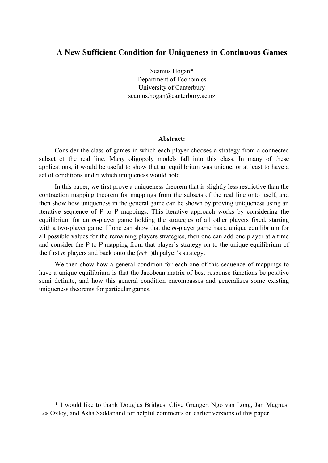### **A New Sufficient Condition for Uniqueness in Continuous Games**

Seamus Hogan\* Department of Economics University of Canterbury seamus.hogan@canterbury.ac.nz

#### **Abstract:**

Consider the class of games in which each player chooses a strategy from a connected subset of the real line. Many oligopoly models fall into this class. In many of these applications, it would be useful to show that an equilibrium was unique, or at least to have a set of conditions under which uniqueness would hold.

In this paper, we first prove a uniqueness theorem that is slightly less restrictive than the contraction mapping theorem for mappings from the subsets of the real line onto itself, and then show how uniqueness in the general game can be shown by proving uniqueness using an iterative sequence of Ρ to Ρ mappings. This iterative approach works by considering the equilibrium for an *m*-player game holding the strategies of all other players fixed, starting with a two-player game. If one can show that the *m*-player game has a unique equilibrium for all possible values for the remaining players strategies, then one can add one player at a time and consider the Ρ to Ρ mapping from that player's strategy on to the unique equilibrium of the first *m* players and back onto the (*m*+1)th palyer's strategy.

We then show how a general condition for each one of this sequence of mappings to have a unique equilibrium is that the Jacobean matrix of best-response functions be positive semi definite, and how this general condition encompasses and generalizes some existing uniqueness theorems for particular games.

\* I would like to thank Douglas Bridges, Clive Granger, Ngo van Long, Jan Magnus, Les Oxley, and Asha Saddanand for helpful comments on earlier versions of this paper.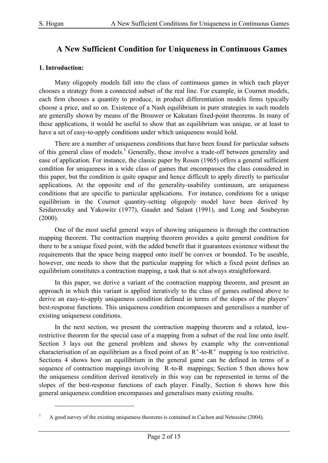## **A New Sufficient Condition for Uniqueness in Continuous Games**

#### **1. Introduction:**

 $\overline{a}$ 

Many oligopoly models fall into the class of continuous games in which each player chooses a strategy from a connected subset of the real line. For example, in Cournot models, each firm chooses a quantity to produce, in product differentiation models firms typically choose a price, and so on. Existence of a Nash equilibrium in pure strategies in such models are generally shown by means of the Brouwer or Kakutani fixed-point theorems. In many of these applications, it would be useful to show that an equilibrium was unique, or at least to have a set of easy-to-apply conditions under which uniqueness would hold.

There are a number of uniqueness conditions that have been found for particular subsets of this general class of models.<sup>1</sup> Generally, these involve a trade-off between generality and ease of application. For instance, the classic paper by Rosen (1965) offers a general sufficient condition for uniqueness in a wide class of games that encompasses the class considered in this paper, but the condition is quite opaque and hence difficult to apply directly to particular applications. At the opposite end of the generality-usability continuum, are uniqueness conditions that are specific to particular applications. For instance, conditions for a unique equilibrium in the Cournot quantity-setting oligopoly model have been derived by Szidarovszky and Yakowitz (1977), Gaudet and Salant (1991), and Long and Soubeyran (2000).

One of the most useful general ways of showing uniqueness is through the contraction mapping theorem. The contraction mapping theorem provides a quite general condition for there to be a unique fixed point, with the added benefit that it guarantees existence without the requirements that the space being mapped onto itself be convex or bounded. To be useable, however, one needs to show that the particular mapping for which a fixed point defines an equilibrium constitutes a contraction mapping, a task that is not always straightforward.

In this paper, we derive a variant of the contraction mapping theorem, and present an approach in which this variant is applied iteratively to the class of games outlined above to derive an easy-to-apply uniqueness condition defined in terms of the slopes of the players' best-response functions. This uniqueness condition encompasses and generalises a number of existing uniqueness conditions.

In the next section, we present the contraction mapping theorem and a related, lessrestrictive theorem for the special case of a mapping from a subset of the real line onto itself. Section 3 lays out the general problem and shows by example why the conventional characterisation of an equilibrium as a fixed point of an  $R^n$ -to- $R^n$  mapping is too restrictive. Sections 4 shows how an equilibrium in the general game can be defined in terms of a sequence of contraction mappings involving R-to-R mappings; Section 5 then shows how the uniqueness condition derived iteratively in this way can be represented in terms of the slopes of the best-response functions of each player. Finally, Section 6 shows how this general uniqueness condition encompasses and generalises many existing results.

<sup>1</sup> A good survey of the existing uniqueness theorems is contained in Cachon and Netessine (2004).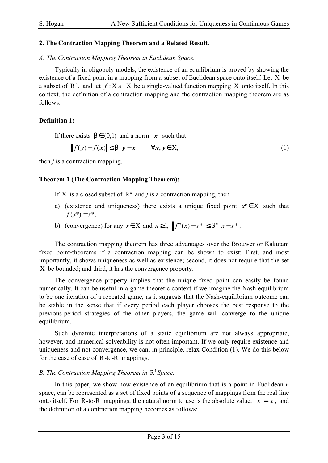#### **2. The Contraction Mapping Theorem and a Related Result.**

#### *A. The Contraction Mapping Theorem in Euclidean Space.*

Typically in oligopoly models, the existence of an equilibrium is proved by showing the existence of a fixed point in a mapping from a subset of Euclidean space onto itself. Let X be a subset of  $\mathbb{R}^n$ , and let  $f: X$  a X be a single-valued function mapping X onto itself. In this context, the definition of a contraction mapping and the contraction mapping theorem are as follows:

#### **Definition 1:**

If there exists  $b \in (0,1)$  and a norm  $\|\mathbf{x}\|$  such that

 $||f(y) - f(x)|| \le b ||y - x|| \qquad \forall x, y \in X,$  (1)

then  $f$  is a contraction mapping.

#### **Theorem 1 (The Contraction Mapping Theorem):**

If X is a closed subset of  $R<sup>n</sup>$  and *f* is a contraction mapping, then

- a) (existence and uniqueness) there exists a unique fixed point *x*\*∈X such that  $f(x^*) = x^*$ ,
- b) (convergence) for any  $x \in X$  and  $n \ge 1$ ,  $||f^{n}(x) x^*|| \le b^n ||x x^*||$ .

The contraction mapping theorem has three advantages over the Brouwer or Kakutani fixed point-theorems if a contraction mapping can be shown to exist: First, and most importantly, it shows uniqueness as well as existence; second, it does not require that the set X be bounded; and third, it has the convergence property.

The convergence property implies that the unique fixed point can easily be found numerically. It can be useful in a game-theoretic context if we imagine the Nash equilibrium to be one iteration of a repeated game, as it suggests that the Nash-equilibrium outcome can be stable in the sense that if every period each player chooses the best response to the previous-period strategies of the other players, the game will converge to the unique equilibrium.

Such dynamic interpretations of a static equilibrium are not always appropriate, however, and numerical solveability is not often important. If we only require existence and uniqueness and not convergence, we can, in principle, relax Condition (1). We do this below for the case of case of R-to-R mappings.

## *B. The Contraction Mapping Theorem in*  $R^1$ *Space.*

In this paper, we show how existence of an equilibrium that is a point in Euclidean *n* space, can be represented as a set of fixed points of a sequence of mappings from the real line onto itself. For R-to-R mappings, the natural norm to use is the absolute value,  $||x|| = |x|$ , and the definition of a contraction mapping becomes as follows: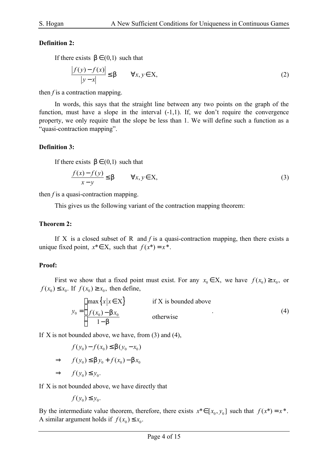#### **Definition 2:**

If there exists  $b \in (0,1)$  such that

$$
\frac{|f(y) - f(x)|}{|y - x|} \le b \qquad \forall x, y \in X,
$$
\n(2)

then  $f$  is a contraction mapping.

In words, this says that the straight line between any two points on the graph of the function, must have a slope in the interval  $(-1,1)$ . If, we don't require the convergence property, we only require that the slope be less than 1. We will define such a function as a "quasi-contraction mapping".

#### **Definition 3:**

If there exists  $b \in (0,1)$  such that

$$
\frac{f(x) - f(y)}{x - y} \le b \qquad \forall x, y \in X,
$$
\n(3)

then *f* is a quasi-contraction mapping.

This gives us the following variant of the contraction mapping theorem:

#### **Theorem 2:**

If X is a closed subset of R and *f* is a quasi-contraction mapping, then there exists a unique fixed point,  $x^* \in X$ , such that  $f(x^*) = x^*$ .

#### **Proof:**

First we show that a fixed point must exist. For any  $x_0 \in X$ , we have  $f(x_0) \ge x_0$ , or  $f(x_0) \le x_0$ . If  $f(x_0) \ge x_0$ , then define,

$$
y_0 = \begin{cases} \max\left\{x \mid x \in X\right\} & \text{if } X \text{ is bounded above} \\ \frac{f(x_0) - b x_0}{1 - b} & \text{otherwise} \end{cases} \tag{4}
$$

If X is not bounded above, we have, from  $(3)$  and  $(4)$ ,

$$
f(y_0) - f(x_0) \le b(y_0 - x_0)
$$
  
\n
$$
\Rightarrow \quad f(y_0) \le b y_0 + f(x_0) - b x_0
$$
  
\n
$$
\Rightarrow \quad f(y_0) \le y_0.
$$

If X is not bounded above, we have directly that

$$
f(y_0) \le y_0.
$$

By the intermediate value theorem, therefore, there exists  $x^* \in [x_0, y_0]$  such that  $f(x^*) = x^*$ . A similar argument holds if  $f(x_0) \le x_0$ .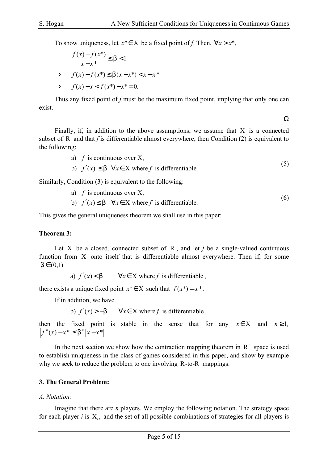To show uniqueness, let  $x^* \in X$  be a fixed point of *f*. Then,  $\forall x > x^*$ ,

$$
\frac{f(x) - f(x^*)}{x - x^*} \le b < 1
$$
\n
$$
\Rightarrow \quad f(x) - f(x^*) \le b(x - x^*) < x - x^*
$$
\n
$$
\Rightarrow \quad f(x) - x < f(x^*) - x^* = 0.
$$

Thus any fixed point of *f* must be the maximum fixed point, implying that only one can exist.

Ω

Finally, if, in addition to the above assumptions, we assume that  $X$  is a connected subset of R and that  $f$  is differentiable almost everywhere, then Condition  $(2)$  is equivalent to the following:

a) 
$$
f
$$
 is continuous over X,  
b)  $|f'(x)| \le b \quad \forall x \in X$  where  $f$  is differentiable. (5)

Similarly, Condition (3) is equivalent to the following:

a) 
$$
f
$$
 is continuous over X, (6)

b) 
$$
f'(x) \le b \quad \forall x \in X \text{ where } f \text{ is differentiable.}
$$

This gives the general uniqueness theorem we shall use in this paper:

#### **Theorem 3:**

Let X be a closed, connected subset of R, and let  $f$  be a single-valued continuous function from X onto itself that is differentiable almost everywhere. Then if, for some  $b \in (0,1)$ 

a)  $f'(x) < b$   $\forall x \in X$  where *f* is differentiable,

there exists a unique fixed point  $x^* \in X$  such that  $f(x^*) = x^*$ .

If in addition, we have

b)  $f'(x) > -b$   $\forall x \in X$  where *f* is differentiable,

then the fixed point is stable in the sense that for any  $x \in X$  and  $n \ge 1$ ,  $f^{n}(x) - x^{*} \leq b^{n} |x - x^{*}|.$ 

In the next section we show how the contraction mapping theorem in  $R<sup>n</sup>$  space is used to establish uniqueness in the class of games considered in this paper, and show by example why we seek to reduce the problem to one involving R-to-R mappings.

#### **3. The General Problem:**

#### *A. Notation:*

Imagine that there are *n* players. We employ the following notation. The strategy space for each player *i* is  $X_i$ , and the set of all possible combinations of strategies for all players is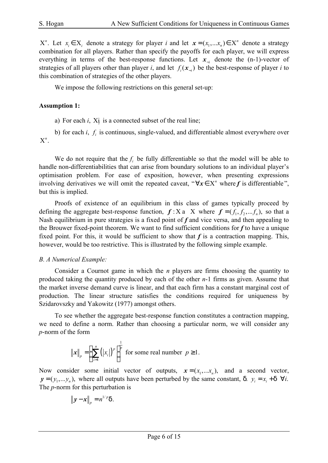$X^n$ . Let  $x_i \in X_i$  denote a strategy for player *i* and let  $\mathbf{x} = (x_1, \dots, x_n) \in X^n$  $x = (x_1, \dots, x_n) \in X^n$  denote a strategy combination for all players. Rather than specify the payoffs for each player, we will express everything in terms of the best-response functions. Let  $x_{-i}$  denote the (n-1)-vector of strategies of all players other than player *i*, and let  $f_i(\mathbf{x}_{-i})$  be the best-response of player *i* to this combination of strategies of the other players.

We impose the following restrictions on this general set-up:

#### **Assumption 1:**

a) For each *i*,  $X$ *i* is a connected subset of the real line;

b) for each  $i$ ,  $f_i$  is continuous, single-valued, and differentiable almost everywhere over  $X^n$ .

We do not require that the  $f_i$  be fully differentiable so that the model will be able to handle non-differentiabilities that can arise from boundary solutions to an individual player's optimisation problem. For ease of exposition, however, when presenting expressions involving derivatives we will omit the repeated caveat, " $\forall x \in X^n$  where f is differentiable", but this is implied.

Proofs of existence of an equilibrium in this class of games typically proceed by defining the aggregate best-response function,  $f: X$  a X where  $f = (f_1, f_2, \dots, f_n)$ , so that a Nash equilibrium in pure strategies is a fixed point of *f* and vice versa, and then appealing to the Brouwer fixed-point theorem. We want to find sufficient conditions for *f* to have a unique fixed point. For this, it would be sufficient to show that  $f$  is a contraction mapping. This, however, would be too restrictive. This is illustrated by the following simple example.

#### *B. A Numerical Example:*

Consider a Cournot game in which the *n* players are firms choosing the quantity to produced taking the quantity produced by each of the other *n*-1 firms as given. Assume that the market inverse demand curve is linear, and that each firm has a constant marginal cost of production. The linear structure satisfies the conditions required for uniqueness by Szidarovszky and Yakowitz (1977) amongst others.

To see whether the aggregate best-response function constitutes a contraction mapping, we need to define a norm. Rather than choosing a particular norm, we will consider any *p*-norm of the form

$$
\|\mathbf{x}\|_{p} = \left(\sum_{i=1}^{n} (|x_{i}|)^{p}\right)^{\frac{1}{p}}
$$
 for some real number  $p \ge 1$ .

Now consider some initial vector of outputs,  $x = (x_1, \dots, x_n)$ , and a second vector,  $y = (y_1, \ldots, y_n)$ , where all outputs have been perturbed by the same constant, d.  $y_i = x_i + d \quad \forall i$ . The *p*-norm for this perturbation is

$$
\left\|\mathbf{y}-\mathbf{x}\right\|_p=n^{1/p}\mathsf{d}.
$$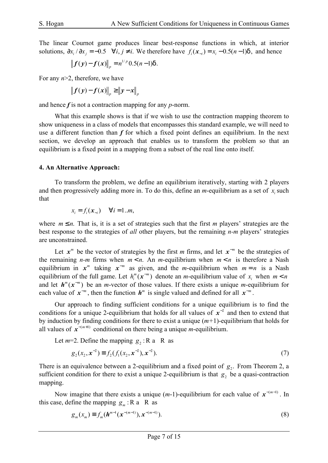The linear Cournot game produces linear best-response functions in which, at interior solutions,  $\partial x_i / \partial x_j = -0.5 \quad \forall i, j \neq i$ . We therefore have  $f_i(x_{-i}) = x_i - 0.5(n-1)d$ , and hence

$$
||f(y)-f(x)||_p = n^{1/p} 0.5(n-1)d.
$$

For any *n*>2, therefore, we have

$$
\left\|f(y)-f(x)\right\|_p \ge \left\|y-x\right\|_p
$$

and hence *f* is not a contraction mapping for any *p*-norm.

What this example shows is that if we wish to use the contraction mapping theorem to show uniqueness in a class of models that encompasses this standard example, we will need to use a different function than  $f$  for which a fixed point defines an equilibrium. In the next section, we develop an approach that enables us to transform the problem so that an equilibrium is a fixed point in a mapping from a subset of the real line onto itself.

#### **4. An Alternative Approach:**

To transform the problem, we define an equilibrium iteratively, starting with 2 players and then progressively adding more in. To do this, define an *m*-equilibrium as a set of  $x_i$  such that

$$
x_i = f_i(\mathbf{x}_{-i}) \quad \forall i = 1..m,
$$

where  $m \le n$ . That is, it is a set of strategies such that the first *m* players' strategies are the best response to the strategies of *all* other players, but the remaining *n-m* players' strategies are unconstrained.

Let  $x^m$  be the vector of strategies by the first *m* firms, and let  $x^{-m}$  be the strategies of the remaining *n-m* firms when  $m < n$ . An *m*-equilibrium when  $m < n$  is therefore a Nash equilibrium in  $x^m$  taking  $x^{-m}$  as given, and the *m*-equilibrium when  $m = n$  is a Nash equilibrium of the full game. Let  $h_i^m(x^{-m})$  $h_i^m(x^{-m})$  denote an *m*-equilibrium value of  $x_i$  when  $m < n$ and let  $h^m(x^{-m})$  be an *m*-vector of those values. If there exists a unique *m*-equilibrium for each value of  $x^{-m}$ , then the function  $h^m$  is single valued and defined for all  $x^{-m}$ .

Our approach to finding sufficient conditions for a unique equilibrium is to find the conditions for a unique 2-equilibrium that holds for all values of  $x^{-2}$  and then to extend that by induction by finding conditions for there to exist a unique (*m+*1)-equilibrium that holds for all values of  $x^{-(m+1)}$  conditional on there being a unique *m*-equilibrium.

Let  $m=2$ . Define the mapping  $g_2$ : R a R as

$$
g_2(x_2, \mathbf{x}^{-2}) \equiv f_2(f_1(x_2, \mathbf{x}^{-2}), \mathbf{x}^{-2}).
$$
\n(7)

There is an equivalence between a 2-equilibrium and a fixed point of  $g_2$ . From Theorem 2, a sufficient condition for there to exist a unique 2-equilibrium is that  $g_2$  be a quasi-contraction mapping.

Now imagine that there exists a unique  $(m-1)$ -equilibrium for each value of  $x^{-(m-1)}$ . In this case, define the mapping  $g_m$ : *R* a R as

$$
g_m(x_m) \equiv f_m(\boldsymbol{h}^{m-1}(\boldsymbol{x}^{-(m-1)}), \boldsymbol{x}^{-(m-1)}).
$$
\n(8)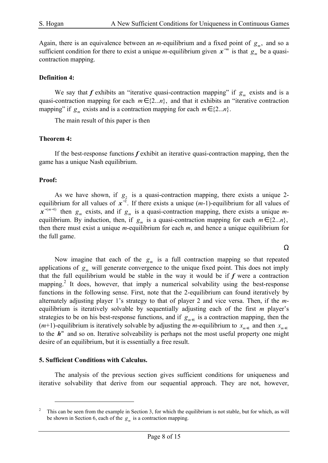Again, there is an equivalence between an *m*-equilibrium and a fixed point of  $g_m$ , and so a sufficient condition for there to exist a unique *m*-equilibrium given  $x^{-m}$  is that  $g_m$  be a quasicontraction mapping.

#### **Definition 4:**

We say that *f* exhibits an "iterative quasi-contraction mapping" if  $g_m$  exists and is a quasi-contraction mapping for each  $m \in \{2...n\}$ , and that it exhibits an "iterative contraction" mapping" if  $g_m$  exists and is a contraction mapping for each  $m \in \{2...n\}$ .

The main result of this paper is then

#### **Theorem 4:**

If the best-response functions *f* exhibit an iterative quasi-contraction mapping, then the game has a unique Nash equilibrium.

#### **Proof:**

As we have shown, if  $g_2$  is a quasi-contraction mapping, there exists a unique 2equilibrium for all values of  $x^{-2}$ . If there exists a unique  $(m-1)$ -equilibrium for all values of  $x^{-(m-1)}$  then  $g_m$  exists, and if  $g_m$  is a quasi-contraction mapping, there exists a unique *m*equilibrium. By induction, then, if  $g_m$  is a quasi-contraction mapping for each  $m \in \{2...n\}$ , then there must exist a unique *m*-equilibrium for each *m*, and hence a unique equilibrium for the full game.

Ω

Now imagine that each of the  $g_m$  is a full contraction mapping so that repeated applications of  $g_m$  will generate convergence to the unique fixed point. This does not imply that the full equilibrium would be stable in the way it would be if  $f$  were a contraction mapping.<sup>2</sup> It does, however, that imply a numerical solvability using the best-response functions in the following sense. First, note that the 2-equilibrium can found iteratively by alternately adjusting player 1's strategy to that of player 2 and vice versa. Then, if the *m*equilibrium is iteratively solvable by sequentially adjusting each of the first *m* player's strategies to be on his best-response functions, and if  $g_{m+1}$  is a contraction mapping, then the (*m*+1)-equilibrium is iteratively solvable by adjusting the *m*-equilibrium to  $x_{m+1}$  and then  $x_{m+1}$ to the  $h^m$  and so on. Iterative solveability is perhaps not the most useful property one might desire of an equilibrium, but it is essentially a free result.

#### **5. Sufficient Conditions with Calculus.**

 $\overline{a}$ 

The analysis of the previous section gives sufficient conditions for uniqueness and iterative solvability that derive from our sequential approach. They are not, however,

<sup>2</sup> This can be seen from the example in Section 3, for which the equilibrium is not stable, but for which, as will be shown in Section 6, each of the  $g_m$  is a contraction mapping.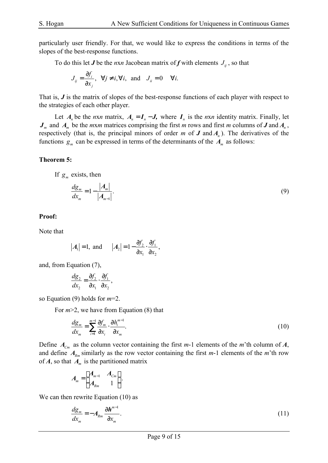particularly user friendly. For that, we would like to express the conditions in terms of the slopes of the best-response functions.

To do this let *J* be the *nxn* Jacobean matrix of *f* with elements  $J_{ii}$ , so that

$$
J_{ij} = \frac{\partial f_i}{\partial x_j}, \quad \forall j \neq i, \forall i, \text{ and } J_{ii} = 0 \quad \forall i.
$$

That is, *J* is the matrix of slopes of the best-response functions of each player with respect to the strategies of each other player.

Let  $A_n$  be the *nxn* matrix,  $A_n = I_n - J$ , where  $I_n$  is the *nxn* identity matrix. Finally, let  $J_m$  and  $A_m$  be the *mxm* matrices comprising the first *m* rows and first *m* columns of *J* and  $A_n$ , respectively (that is, the principal minors of order  $m$  of  $J$  and  $A<sub>n</sub>$ ). The derivatives of the functions  $g_m$  can be expressed in terms of the determinants of the  $A_m$  as follows:

#### **Theorem 5:**

If  $g_m$  exists, then

$$
\frac{dg_m}{dx_m} = 1 - \frac{|A_m|}{|A_{m-1}|}.
$$
\n(9)

#### **Proof:**

Note that

$$
|A_1|=1
$$
, and  $|A_2|=1-\frac{\partial f_2}{\partial x_1}\cdot\frac{\partial f_1}{\partial x_2}$ ,

and, from Equation (7),

$$
\frac{dg_2}{dx_2} = \frac{\partial f_2}{\partial x_1} \cdot \frac{\partial f_1}{\partial x_2},
$$

so Equation (9) holds for *m*=2.

For *m*>2, we have from Equation (8) that

$$
\frac{d\mathbf{g}_m}{dx_m} = \sum_{i=1}^{m-1} \frac{\partial f_m}{\partial x_i} \cdot \frac{\partial h_i^{m-1}}{\partial x_m}.\tag{10}
$$

Define  $A_{C_m}$  as the column vector containing the first *m*-1 elements of the *m*'th column of *A*, and define  $A_{Rm}$  similarly as the row vector containing the first  $m-1$  elements of the  $m$ 'th row of *A*, so that *A<sup>m</sup>* is the partitioned matrix

$$
A_m = \begin{bmatrix} A_{m-1} & A_{Cm} \\ A_{Rm} & 1 \end{bmatrix}.
$$

We can then rewrite Equation (10) as

$$
\frac{d\mathbf{g}_m}{dx_m} = -A_{Rm} \frac{\partial \boldsymbol{h}^{m-1}}{\partial x_m}.
$$
\n(11)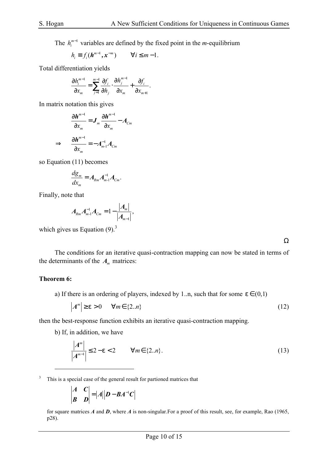The  $h_i^{m-1}$  variables are defined by the fixed point in the *m*-equilibrium

$$
h_i \equiv f_i(\boldsymbol{h}^{m-1}, \boldsymbol{x}^{-m}) \qquad \forall i \leq m-1.
$$

Total differentiation yields

$$
\frac{\partial h_i^{m-1}}{\partial x_m} = \sum_{j=1}^{m-1} \frac{\partial f_i}{\partial h_j} \cdot \frac{\partial h_j^{m-1}}{\partial x_m} + \frac{\partial f_i}{\partial x_{m+1}}.
$$

In matrix notation this gives

$$
\frac{\partial \boldsymbol{h}^{m-1}}{\partial x_m} = \boldsymbol{J}_m \frac{\partial \boldsymbol{h}^{m-1}}{\partial x_m} - \boldsymbol{A}_{Cm}
$$

$$
\Rightarrow \frac{\partial \boldsymbol{h}^{m-1}}{\partial x_m} = -\boldsymbol{A}_{m-1}^{-1} \boldsymbol{A}_{Cm}
$$

so Equation (11) becomes

$$
\frac{d\mathbf{g}_m}{dx_m}=A_{Rm}A_{m-1}^{-1}A_{Cm}.
$$

Finally, note that

$$
A_{Rm}A_{m-1}^{-1}A_{Cm}=1-\frac{|A_m|}{|A_{m-1}|},
$$

which gives us Equation  $(9)^3$ 

Ω

The conditions for an iterative quasi-contraction mapping can now be stated in terms of the determinants of the  $A_m$  matrices:

#### **Theorem 6:**

 $\overline{a}$ 

a) If there is an ordering of players, indexed by 1..n, such that for some  $e \in (0,1)$ 

$$
|A^m| \geq e > 0 \quad \forall m \in \{2..n\} \tag{12}
$$

then the best-response function exhibits an iterative quasi-contraction mapping.

b) If, in addition, we have

$$
\frac{|A^m|}{|A^{m-1}|} \le 2 - e < 2 \quad \forall m \in \{2..n\}.\tag{13}
$$

<sup>3</sup> This is a special case of the general result for partioned matrices that

$$
\begin{vmatrix} A & C \\ B & D \end{vmatrix} = |A||D - BA^{-1}C|
$$

for square matrices *A* and *D*, where *A* is non-singular.For a proof of this result, see, for example, Rao (1965, p28).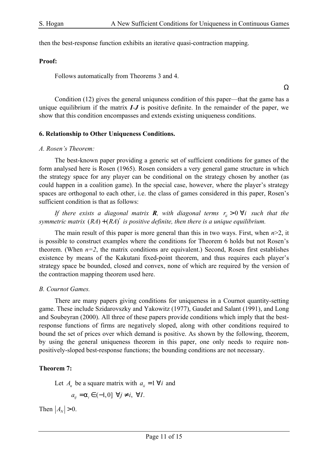Ω

then the best-response function exhibits an iterative quasi-contraction mapping.

#### **Proof:**

Follows automatically from Theorems 3 and 4.

Condition (12) gives the general uniquness condition of this paper—that the game has a unique equilibrium if the matrix *I-J* is positive definite. In the remainder of the paper, we show that this condition encompasses and extends existing uniqueness conditions.

#### **6. Relationship to Other Uniqueness Conditions.**

#### *A. Rosen's Theorem:*

The best-known paper providing a generic set of sufficient conditions for games of the form analysed here is Rosen (1965). Rosen considers a very general game structure in which the strategy space for any player can be conditional on the strategy chosen by another (as could happen in a coalition game). In the special case, however, where the player's strategy spaces are orthogonal to each other, i.e. the class of games considered in this paper, Rosen's sufficient condition is that as follows:

*If there exists a diagonal matrix R, with diagonal terms*  $r_i > 0$  $\forall i$  *such that the symmetric matrix*  $(RA) + (RA)'$  *is positive definite, then there is a unique equilibrium.* 

The main result of this paper is more general than this in two ways. First, when *n*>2, it is possible to construct examples where the conditions for Theorem 6 holds but not Rosen's theorem. (When  $n=2$ , the matrix conditions are equivalent.) Second, Rosen first establishes existence by means of the Kakutani fixed-point theorem, and thus requires each player's strategy space be bounded, closed and convex, none of which are required by the version of the contraction mapping theorem used here.

#### *B. Cournot Games.*

There are many papers giving conditions for uniqueness in a Cournot quantity-setting game. These include Szidarovszky and Yakowitz (1977), Gaudet and Salant (1991), and Long and Soubeyran (2000). All three of these papers provide conditions which imply that the bestresponse functions of firms are negatively sloped, along with other conditions required to bound the set of prices over which demand is positive. As shown by the following, theorem, by using the general uniqueness theorem in this paper, one only needs to require nonpositively-sloped best-response functions; the bounding conditions are not necessary.

#### **Theorem 7:**

Let  $A_n$  be a square matrix with  $a_{ii} = 1 \,\forall i$  and

$$
a_{ij} = a_i \in (-1,0] \ \forall j \neq i, \ \forall I.
$$

Then  $|A_N| > 0$ .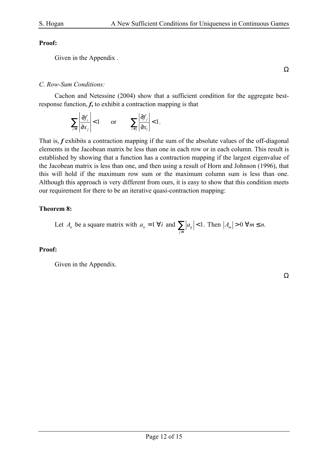#### **Proof:**

Given in the Appendix .

Ω

### *C. Row-Sum Conditions:*

Cachon and Netessine (2004) show that a sufficient condition for the aggregate bestresponse function, *f***,** to exhibit a contraction mapping is that

$$
\sum_{j\neq i} \left| \frac{\partial f_i}{\partial x_j} \right| < 1 \qquad \text{or} \qquad \sum_{i \neq j} \left| \frac{\partial f_j}{\partial x_i} \right| < 1.
$$

That is, *f* exhibits a contraction mapping if the sum of the absolute values of the off-diagonal elements in the Jacobean matrix be less than one in each row or in each column. This result is established by showing that a function has a contraction mapping if the largest eigenvalue of the Jacobean matrix is less than one, and then using a result of Horn and Johnson (1996), that this will hold if the maximum row sum or the maximum column sum is less than one. Although this approach is very different from ours, it is easy to show that this condition meets our requirement for there to be an iterative quasi-contraction mapping:

#### **Theorem 8:**

Let 
$$
A_n
$$
 be a square matrix with  $a_{ii} = 1 \forall i$  and  $\sum_{j \neq i} |a_{ij}| < 1$ . Then  $|A_m| > 0 \forall m \leq n$ .

#### **Proof:**

Given in the Appendix.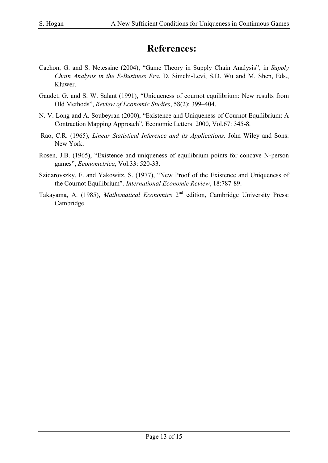# **References:**

- Cachon, G. and S. Netessine (2004), "Game Theory in Supply Chain Analysis", in *Supply Chain Analysis in the E-Business Era*, D. Simchi-Levi, S.D. Wu and M. Shen, Eds., Kluwer.
- Gaudet, G. and S. W. Salant (1991), "Uniqueness of cournot equilibrium: New results from Old Methods", *Review of Economic Studies*, 58(2): 399–404.
- N. V. Long and A. Soubeyran (2000), "Existence and Uniqueness of Cournot Equilibrium: A Contraction Mapping Approach", Economic Letters. 2000, Vol.67: 345-8.
- Rao, C.R. (1965), *Linear Statistical Inference and its Applications.* John Wiley and Sons: New York.
- Rosen, J.B. (1965), "Existence and uniqueness of equilibrium points for concave N-person games", *Econometrica*, Vol.33: 520-33.
- Szidarovszky, F. and Yakowitz, S. (1977), "New Proof of the Existence and Uniqueness of the Cournot Equilibrium". *International Economic Review*, 18:787-89.
- Takayama, A. (1985), *Mathematical Economics* 2<sup>nd</sup> edition, Cambridge University Press: Cambridge.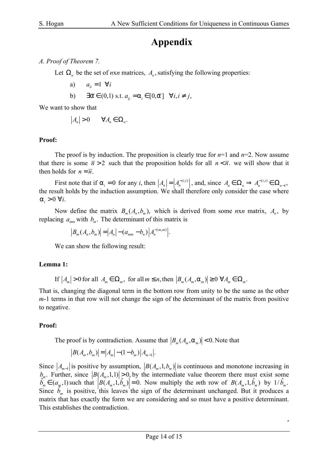# **Appendix**

#### *A. Proof of Theorem 7.*

Let  $\Omega_n$  be the set of *nxn* matrices,  $A_n$ , satisfying the following properties:

a)  $a_{ii} = 1 \ \forall i$ 

b) 
$$
\exists \overline{a} \in (0,1)
$$
 s.t.  $a_{ij} = a_i \in [0,\overline{a}] \quad \forall i, i \neq j$ ,

We want to show that

$$
|A_n|>0\qquad \forall A_n\in\Omega_n.
$$

#### **Proof:**

The proof is by induction. The proposition is clearly true for *n*=1 and *n*=2. Now assume that there is some  $\bar{n} > 2$  such that the proposition holds for all  $n < \bar{n}$ , we will show that it then holds for  $n = \overline{n}$ .

First note that if  $a_i = 0$  for any i, then  $|A_n| = |A_n^{-(i,i)}|$ , and, since  $A_n \in \Omega_n \Rightarrow A_n^{-(i,i)} \in \Omega_{n-1}$ , the result holds by the induction assumption. We shall therefore only consider the case where  $a_i > 0 \ \forall i.$ 

Now define the matrix  $B_m(A_n, b_m)$ , which is derived from some *nxn* matrix,  $A_n$ , by replacing  $a_{mn}$  with  $b_m$ . The determinant of this matrix is

$$
|B_m(A_n, b_m)| = |A_n| - (a_{mm} - b_n)|A_n^{-(m,m)}|.
$$

We can show the following result:

### **Lemma 1:**

If  $|A_m| > 0$  for all  $A_m \in \Omega_m$ , for all  $m \le n$ , then  $|B_m(A_m, a_m)| \ge 0 \ \forall A_m \in \Omega_m$ .

That is, changing the diagonal term in the bottom row from unity to be the same as the other *m*-1 terms in that row will not change the sign of the determinant of the matrix from positive to negative.

### **Proof:**

The proof is by contradiction. Assume that  $|B_m(A_m, a_m)| < 0$ . Note that

$$
|B(A_m, b_m)| = |A_m| - (1 - b_m)|A_{m-1}|.
$$

Since  $|A_{m-1}|$  is positive by assumption,  $|B(A_m, 1, b_m)|$  is continuous and monotone increasing in  $b_m$ . Further, since  $|B(A_m, 1, 1)| \ge 0$ , by the intermediate value theorem there must exist some  $\hat{b}_m^m \in (a_m, 1)$  such that  $\left| B(A_m, 1, \hat{b}_m) \right| = 0$ . Now multiply the *mth* row of  $B(A_m, 1, \hat{b}_m)$  by  $1/\hat{b}_m$ . Since  $\hat{b}_m$  is positive, this leaves the sign of the determinant unchanged. But it produces a matrix that has exactly the form we are considering and so must have a positive determinant. This establishes the contradiction.

,